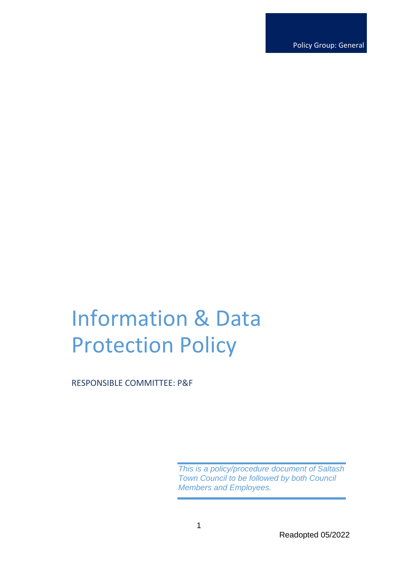Policy Group: General

# Information & Data Protection Policy

RESPONSIBLE COMMITTEE: P&F

*This is a policy/procedure document of Saltash Town Council to be followed by both Council Members and Employees.*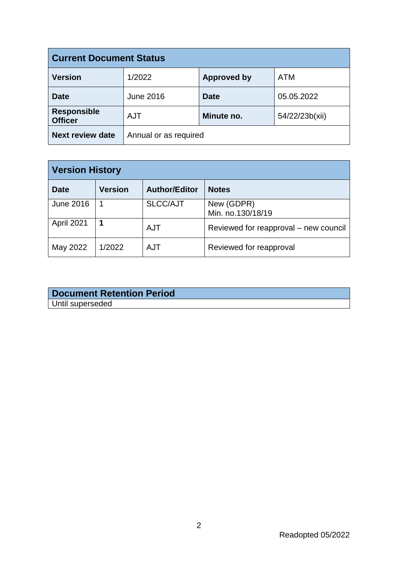| <b>Current Document Status</b>       |                       |                    |                |  |
|--------------------------------------|-----------------------|--------------------|----------------|--|
| <b>Version</b>                       | 1/2022                | <b>Approved by</b> | <b>ATM</b>     |  |
| <b>Date</b>                          | <b>June 2016</b>      | <b>Date</b>        | 05.05.2022     |  |
| <b>Responsible</b><br><b>Officer</b> | <b>AJT</b>            | Minute no.         | 54/22/23b(xii) |  |
| <b>Next review date</b>              | Annual or as required |                    |                |  |

| <b>Version History</b> |                |                      |                                       |  |
|------------------------|----------------|----------------------|---------------------------------------|--|
| <b>Date</b>            | <b>Version</b> | <b>Author/Editor</b> | <b>Notes</b>                          |  |
| <b>June 2016</b>       |                | <b>SLCC/AJT</b>      | New (GDPR)<br>Min. no.130/18/19       |  |
| April 2021             |                | <b>AJT</b>           | Reviewed for reapproval – new council |  |
| May 2022               | 1/2022         | <b>AJT</b>           | Reviewed for reapproval               |  |

# **Document Retention Period** Until superseded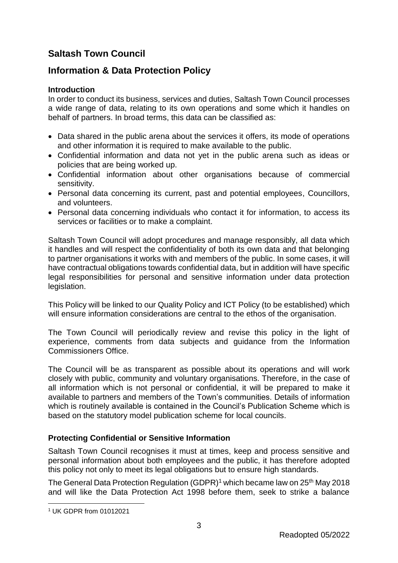# **Saltash Town Council**

# **Information & Data Protection Policy**

## **Introduction**

In order to conduct its business, services and duties, Saltash Town Council processes a wide range of data, relating to its own operations and some which it handles on behalf of partners. In broad terms, this data can be classified as:

- Data shared in the public arena about the services it offers, its mode of operations and other information it is required to make available to the public.
- Confidential information and data not yet in the public arena such as ideas or policies that are being worked up.
- Confidential information about other organisations because of commercial sensitivity.
- Personal data concerning its current, past and potential employees, Councillors, and volunteers.
- Personal data concerning individuals who contact it for information, to access its services or facilities or to make a complaint.

Saltash Town Council will adopt procedures and manage responsibly, all data which it handles and will respect the confidentiality of both its own data and that belonging to partner organisations it works with and members of the public. In some cases, it will have contractual obligations towards confidential data, but in addition will have specific legal responsibilities for personal and sensitive information under data protection legislation.

This Policy will be linked to our Quality Policy and ICT Policy (to be established) which will ensure information considerations are central to the ethos of the organisation.

The Town Council will periodically review and revise this policy in the light of experience, comments from data subjects and guidance from the Information Commissioners Office.

The Council will be as transparent as possible about its operations and will work closely with public, community and voluntary organisations. Therefore, in the case of all information which is not personal or confidential, it will be prepared to make it available to partners and members of the Town's communities. Details of information which is routinely available is contained in the Council's Publication Scheme which is based on the statutory model publication scheme for local councils.

# **Protecting Confidential or Sensitive Information**

Saltash Town Council recognises it must at times, keep and process sensitive and personal information about both employees and the public, it has therefore adopted this policy not only to meet its legal obligations but to ensure high standards.

The General Data Protection Regulation (GDPR)<sup>1</sup> which became law on 25<sup>th</sup> May 2018 and will like the Data Protection Act 1998 before them, seek to strike a balance

<sup>&</sup>lt;u>.</u> <sup>1</sup> UK GDPR from 01012021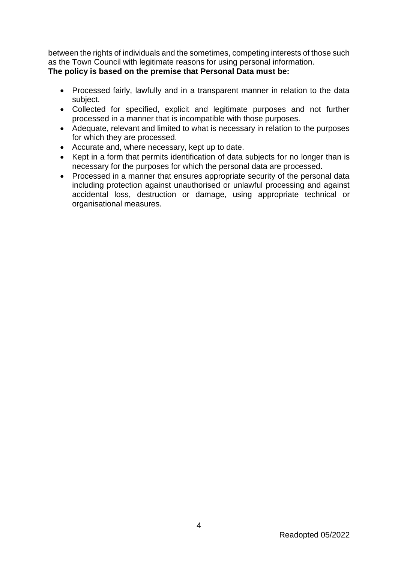between the rights of individuals and the sometimes, competing interests of those such as the Town Council with legitimate reasons for using personal information. **The policy is based on the premise that Personal Data must be:** 

- Processed fairly, lawfully and in a transparent manner in relation to the data subject.
- Collected for specified, explicit and legitimate purposes and not further processed in a manner that is incompatible with those purposes.
- Adequate, relevant and limited to what is necessary in relation to the purposes for which they are processed.
- Accurate and, where necessary, kept up to date.
- Kept in a form that permits identification of data subjects for no longer than is necessary for the purposes for which the personal data are processed.
- Processed in a manner that ensures appropriate security of the personal data including protection against unauthorised or unlawful processing and against accidental loss, destruction or damage, using appropriate technical or organisational measures.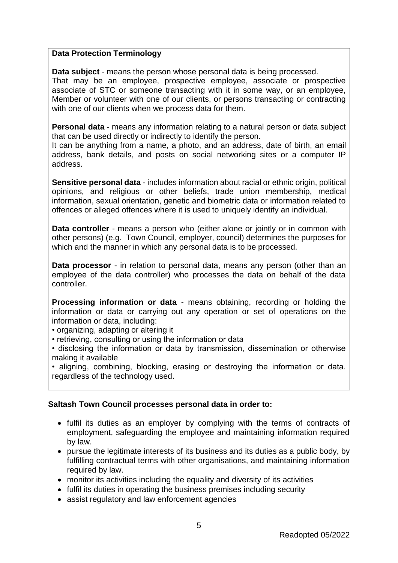#### **Data Protection Terminology**

**Data subject** - means the person whose personal data is being processed.

That may be an employee, prospective employee, associate or prospective associate of STC or someone transacting with it in some way, or an employee, Member or volunteer with one of our clients, or persons transacting or contracting with one of our clients when we process data for them.

**Personal data** - means any information relating to a natural person or data subject that can be used directly or indirectly to identify the person.

It can be anything from a name, a photo, and an address, date of birth, an email address, bank details, and posts on social networking sites or a computer IP address.

**Sensitive personal data** - includes information about racial or ethnic origin, political opinions, and religious or other beliefs, trade union membership, medical information, sexual orientation, genetic and biometric data or information related to offences or alleged offences where it is used to uniquely identify an individual.

**Data controller** - means a person who (either alone or jointly or in common with other persons) (e.g. Town Council, employer, council) determines the purposes for which and the manner in which any personal data is to be processed.

**Data processor** - in relation to personal data, means any person (other than an employee of the data controller) who processes the data on behalf of the data controller.

**Processing information or data** - means obtaining, recording or holding the information or data or carrying out any operation or set of operations on the information or data, including:

• organizing, adapting or altering it

• retrieving, consulting or using the information or data

• disclosing the information or data by transmission, dissemination or otherwise making it available

• aligning, combining, blocking, erasing or destroying the information or data. regardless of the technology used.

# **Saltash Town Council processes personal data in order to:**

- fulfil its duties as an employer by complying with the terms of contracts of employment, safeguarding the employee and maintaining information required by law.
- pursue the legitimate interests of its business and its duties as a public body, by fulfilling contractual terms with other organisations, and maintaining information required by law.
- monitor its activities including the equality and diversity of its activities
- fulfil its duties in operating the business premises including security
- assist regulatory and law enforcement agencies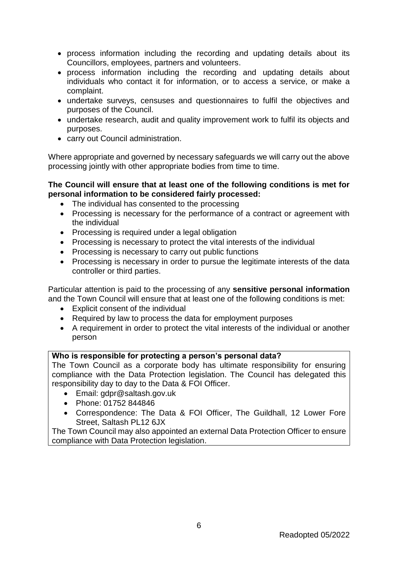- process information including the recording and updating details about its Councillors, employees, partners and volunteers.
- process information including the recording and updating details about individuals who contact it for information, or to access a service, or make a complaint.
- undertake surveys, censuses and questionnaires to fulfil the objectives and purposes of the Council.
- undertake research, audit and quality improvement work to fulfil its objects and purposes.
- carry out Council administration.

Where appropriate and governed by necessary safeguards we will carry out the above processing jointly with other appropriate bodies from time to time.

## **The Council will ensure that at least one of the following conditions is met for personal information to be considered fairly processed:**

- The individual has consented to the processing
- Processing is necessary for the performance of a contract or agreement with the individual
- Processing is required under a legal obligation
- Processing is necessary to protect the vital interests of the individual
- Processing is necessary to carry out public functions
- Processing is necessary in order to pursue the legitimate interests of the data controller or third parties.

Particular attention is paid to the processing of any **sensitive personal information** and the Town Council will ensure that at least one of the following conditions is met:

- Explicit consent of the individual
- Required by law to process the data for employment purposes
- A requirement in order to protect the vital interests of the individual or another person

# **Who is responsible for protecting a person's personal data?**

The Town Council as a corporate body has ultimate responsibility for ensuring compliance with the Data Protection legislation. The Council has delegated this responsibility day to day to the Data & FOI Officer.

- Email: gdpr@saltash.gov.uk
- Phone: 01752 844846
- Correspondence: The Data & FOI Officer, The Guildhall, 12 Lower Fore Street, Saltash PL12 6JX

The Town Council may also appointed an external Data Protection Officer to ensure compliance with Data Protection legislation.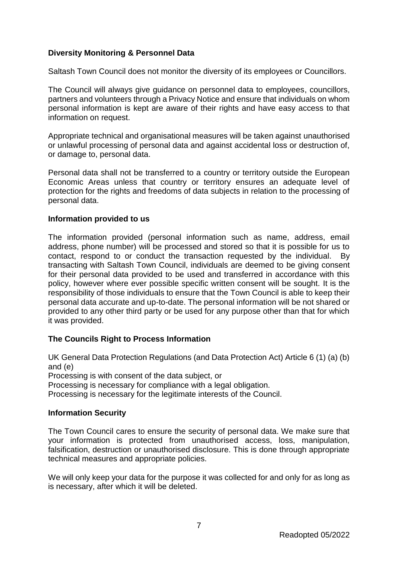## **Diversity Monitoring & Personnel Data**

Saltash Town Council does not monitor the diversity of its employees or Councillors.

The Council will always give guidance on personnel data to employees, councillors, partners and volunteers through a Privacy Notice and ensure that individuals on whom personal information is kept are aware of their rights and have easy access to that information on request.

Appropriate technical and organisational measures will be taken against unauthorised or unlawful processing of personal data and against accidental loss or destruction of, or damage to, personal data.

Personal data shall not be transferred to a country or territory outside the European Economic Areas unless that country or territory ensures an adequate level of protection for the rights and freedoms of data subjects in relation to the processing of personal data.

#### **Information provided to us**

The information provided (personal information such as name, address, email address, phone number) will be processed and stored so that it is possible for us to contact, respond to or conduct the transaction requested by the individual. By transacting with Saltash Town Council, individuals are deemed to be giving consent for their personal data provided to be used and transferred in accordance with this policy, however where ever possible specific written consent will be sought. It is the responsibility of those individuals to ensure that the Town Council is able to keep their personal data accurate and up-to-date. The personal information will be not shared or provided to any other third party or be used for any purpose other than that for which it was provided.

#### **The Councils Right to Process Information**

UK General Data Protection Regulations (and Data Protection Act) Article 6 (1) (a) (b) and (e) Processing is with consent of the data subject, or Processing is necessary for compliance with a legal obligation. Processing is necessary for the legitimate interests of the Council.

#### **Information Security**

The Town Council cares to ensure the security of personal data. We make sure that your information is protected from unauthorised access, loss, manipulation, falsification, destruction or unauthorised disclosure. This is done through appropriate technical measures and appropriate policies.

We will only keep your data for the purpose it was collected for and only for as long as is necessary, after which it will be deleted.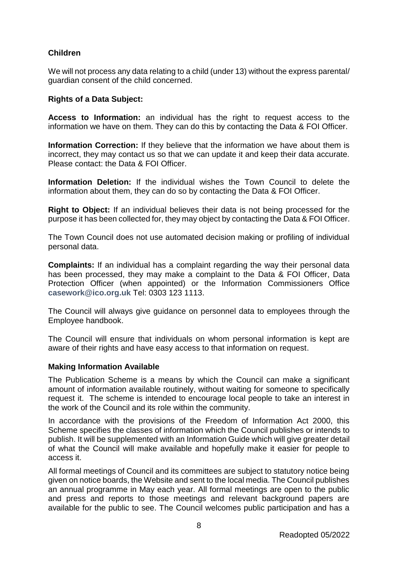# **Children**

We will not process any data relating to a child (under 13) without the express parental/ guardian consent of the child concerned.

#### **Rights of a Data Subject:**

**Access to Information:** an individual has the right to request access to the information we have on them. They can do this by contacting the Data & FOI Officer.

**Information Correction:** If they believe that the information we have about them is incorrect, they may contact us so that we can update it and keep their data accurate. Please contact: the Data & FOI Officer.

**Information Deletion:** If the individual wishes the Town Council to delete the information about them, they can do so by contacting the Data & FOI Officer.

**Right to Object:** If an individual believes their data is not being processed for the purpose it has been collected for, they may object by contacting the Data & FOI Officer.

The Town Council does not use automated decision making or profiling of individual personal data.

**Complaints:** If an individual has a complaint regarding the way their personal data has been processed, they may make a complaint to the Data & FOI Officer, Data Protection Officer (when appointed) or the Information Commissioners Office **[casework@ico.org.uk](mailto:casework@ico.org.uk)** Tel: 0303 123 1113.

The Council will always give guidance on personnel data to employees through the Employee handbook.

The Council will ensure that individuals on whom personal information is kept are aware of their rights and have easy access to that information on request.

#### **Making Information Available**

The Publication Scheme is a means by which the Council can make a significant amount of information available routinely, without waiting for someone to specifically request it. The scheme is intended to encourage local people to take an interest in the work of the Council and its role within the community.

In accordance with the provisions of the Freedom of Information Act 2000, this Scheme specifies the classes of information which the Council publishes or intends to publish. It will be supplemented with an Information Guide which will give greater detail of what the Council will make available and hopefully make it easier for people to access it.

All formal meetings of Council and its committees are subject to statutory notice being given on notice boards, the Website and sent to the local media. The Council publishes an annual programme in May each year. All formal meetings are open to the public and press and reports to those meetings and relevant background papers are available for the public to see. The Council welcomes public participation and has a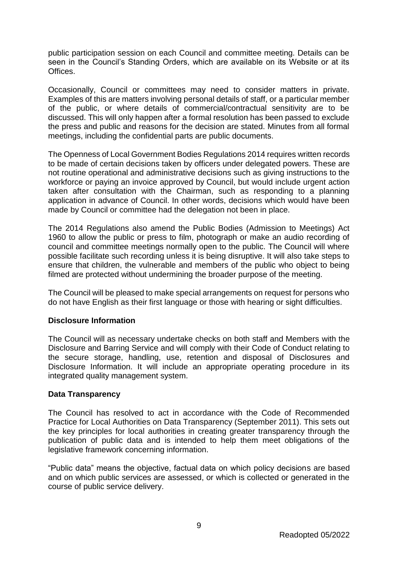public participation session on each Council and committee meeting. Details can be seen in the Council's Standing Orders, which are available on its Website or at its Offices.

Occasionally, Council or committees may need to consider matters in private. Examples of this are matters involving personal details of staff, or a particular member of the public, or where details of commercial/contractual sensitivity are to be discussed. This will only happen after a formal resolution has been passed to exclude the press and public and reasons for the decision are stated. Minutes from all formal meetings, including the confidential parts are public documents.

The Openness of Local Government Bodies Regulations 2014 requires written records to be made of certain decisions taken by officers under delegated powers. These are not routine operational and administrative decisions such as giving instructions to the workforce or paying an invoice approved by Council, but would include urgent action taken after consultation with the Chairman, such as responding to a planning application in advance of Council. In other words, decisions which would have been made by Council or committee had the delegation not been in place.

The 2014 Regulations also amend the Public Bodies (Admission to Meetings) Act 1960 to allow the public or press to film, photograph or make an audio recording of council and committee meetings normally open to the public. The Council will where possible facilitate such recording unless it is being disruptive. It will also take steps to ensure that children, the vulnerable and members of the public who object to being filmed are protected without undermining the broader purpose of the meeting.

The Council will be pleased to make special arrangements on request for persons who do not have English as their first language or those with hearing or sight difficulties.

#### **Disclosure Information**

The Council will as necessary undertake checks on both staff and Members with the Disclosure and Barring Service and will comply with their Code of Conduct relating to the secure storage, handling, use, retention and disposal of Disclosures and Disclosure Information. It will include an appropriate operating procedure in its integrated quality management system.

#### **Data Transparency**

The Council has resolved to act in accordance with the Code of Recommended Practice for Local Authorities on Data Transparency (September 2011). This sets out the key principles for local authorities in creating greater transparency through the publication of public data and is intended to help them meet obligations of the legislative framework concerning information.

"Public data" means the objective, factual data on which policy decisions are based and on which public services are assessed, or which is collected or generated in the course of public service delivery.